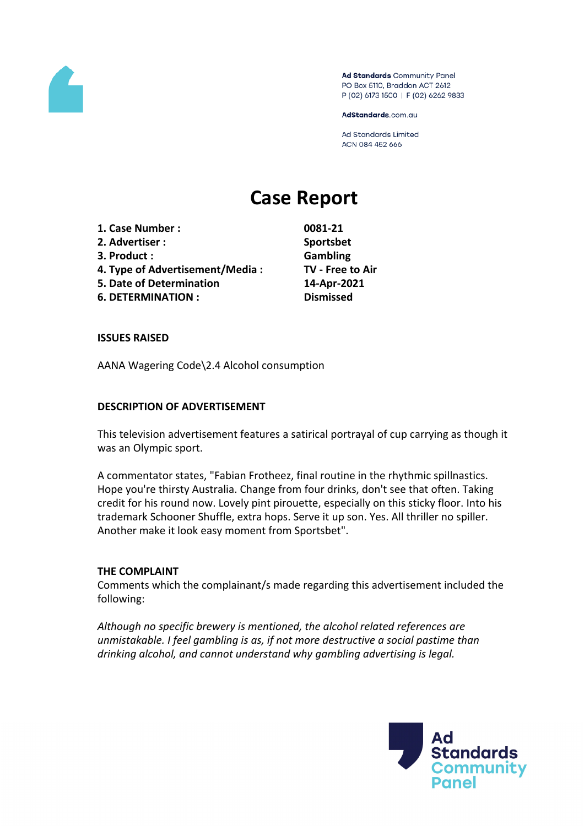

Ad Standards Community Panel PO Box 5110, Braddon ACT 2612 P (02) 6173 1500 | F (02) 6262 9833

AdStandards.com.au

**Ad Standards Limited** ACN 084 452 666

# **Case Report**

**1. Case Number : 0081-21 2. Advertiser : Sportsbet 3. Product : Gambling 4. Type of Advertisement/Media : TV - Free to Air 5. Date of Determination 14-Apr-2021 6. DETERMINATION : Dismissed**

#### **ISSUES RAISED**

AANA Wagering Code\2.4 Alcohol consumption

#### **DESCRIPTION OF ADVERTISEMENT**

This television advertisement features a satirical portrayal of cup carrying as though it was an Olympic sport.

A commentator states, "Fabian Frotheez, final routine in the rhythmic spillnastics. Hope you're thirsty Australia. Change from four drinks, don't see that often. Taking credit for his round now. Lovely pint pirouette, especially on this sticky floor. Into his trademark Schooner Shuffle, extra hops. Serve it up son. Yes. All thriller no spiller. Another make it look easy moment from Sportsbet".

#### **THE COMPLAINT**

Comments which the complainant/s made regarding this advertisement included the following:

*Although no specific brewery is mentioned, the alcohol related references are unmistakable. I feel gambling is as, if not more destructive a social pastime than drinking alcohol, and cannot understand why gambling advertising is legal.*

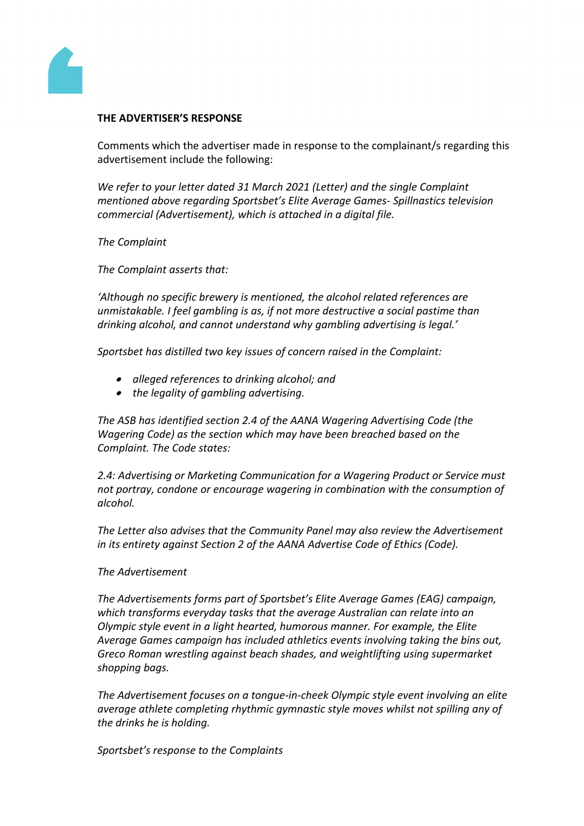

### **THE ADVERTISER'S RESPONSE**

Comments which the advertiser made in response to the complainant/s regarding this advertisement include the following:

*We refer to your letter dated 31 March 2021 (Letter) and the single Complaint mentioned above regarding Sportsbet's Elite Average Games- Spillnastics television commercial (Advertisement), which is attached in a digital file.*

*The Complaint*

*The Complaint asserts that:*

*'Although no specific brewery is mentioned, the alcohol related references are unmistakable. I feel gambling is as, if not more destructive a social pastime than drinking alcohol, and cannot understand why gambling advertising is legal.'*

*Sportsbet has distilled two key issues of concern raised in the Complaint:*

- *alleged references to drinking alcohol; and*
- *the legality of gambling advertising.*

*The ASB has identified section 2.4 of the AANA Wagering Advertising Code (the Wagering Code) as the section which may have been breached based on the Complaint. The Code states:*

*2.4: Advertising or Marketing Communication for a Wagering Product or Service must not portray, condone or encourage wagering in combination with the consumption of alcohol.*

*The Letter also advises that the Community Panel may also review the Advertisement in its entirety against Section 2 of the AANA Advertise Code of Ethics (Code).*

### *The Advertisement*

*The Advertisements forms part of Sportsbet's Elite Average Games (EAG) campaign, which transforms everyday tasks that the average Australian can relate into an Olympic style event in a light hearted, humorous manner. For example, the Elite Average Games campaign has included athletics events involving taking the bins out, Greco Roman wrestling against beach shades, and weightlifting using supermarket shopping bags.*

*The Advertisement focuses on a tongue-in-cheek Olympic style event involving an elite average athlete completing rhythmic gymnastic style moves whilst not spilling any of the drinks he is holding.*

*Sportsbet's response to the Complaints*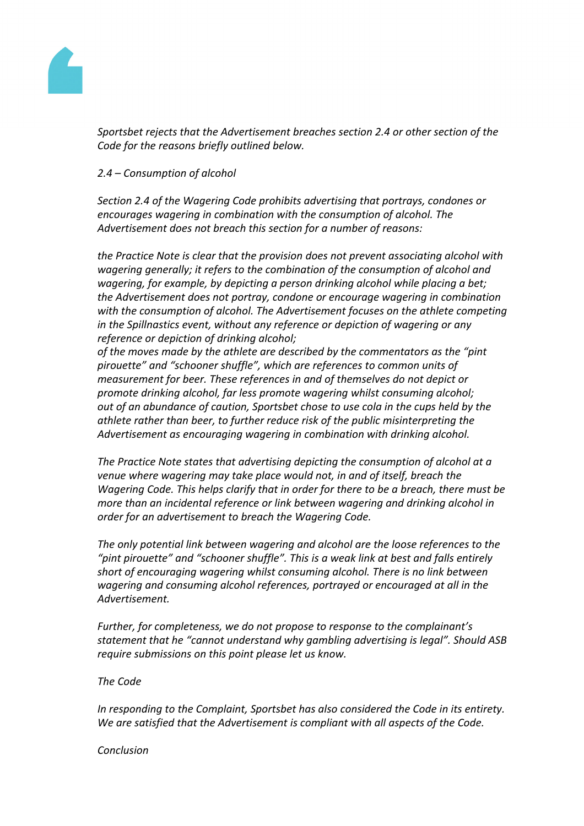

*Sportsbet rejects that the Advertisement breaches section 2.4 or other section of the Code for the reasons briefly outlined below.*

# *2.4 – Consumption of alcohol*

*Section 2.4 of the Wagering Code prohibits advertising that portrays, condones or encourages wagering in combination with the consumption of alcohol. The Advertisement does not breach this section for a number of reasons:*

*the Practice Note is clear that the provision does not prevent associating alcohol with wagering generally; it refers to the combination of the consumption of alcohol and wagering, for example, by depicting a person drinking alcohol while placing a bet; the Advertisement does not portray, condone or encourage wagering in combination with the consumption of alcohol. The Advertisement focuses on the athlete competing in the Spillnastics event, without any reference or depiction of wagering or any reference or depiction of drinking alcohol;*

*of the moves made by the athlete are described by the commentators as the "pint pirouette" and "schooner shuffle", which are references to common units of measurement for beer. These references in and of themselves do not depict or promote drinking alcohol, far less promote wagering whilst consuming alcohol; out of an abundance of caution, Sportsbet chose to use cola in the cups held by the athlete rather than beer, to further reduce risk of the public misinterpreting the Advertisement as encouraging wagering in combination with drinking alcohol.*

*The Practice Note states that advertising depicting the consumption of alcohol at a venue where wagering may take place would not, in and of itself, breach the Wagering Code. This helps clarify that in order for there to be a breach, there must be more than an incidental reference or link between wagering and drinking alcohol in order for an advertisement to breach the Wagering Code.*

*The only potential link between wagering and alcohol are the loose references to the "pint pirouette" and "schooner shuffle". This is a weak link at best and falls entirely short of encouraging wagering whilst consuming alcohol. There is no link between wagering and consuming alcohol references, portrayed or encouraged at all in the Advertisement.*

*Further, for completeness, we do not propose to response to the complainant's statement that he "cannot understand why gambling advertising is legal". Should ASB require submissions on this point please let us know.*

*The Code*

*In responding to the Complaint, Sportsbet has also considered the Code in its entirety. We are satisfied that the Advertisement is compliant with all aspects of the Code.*

#### *Conclusion*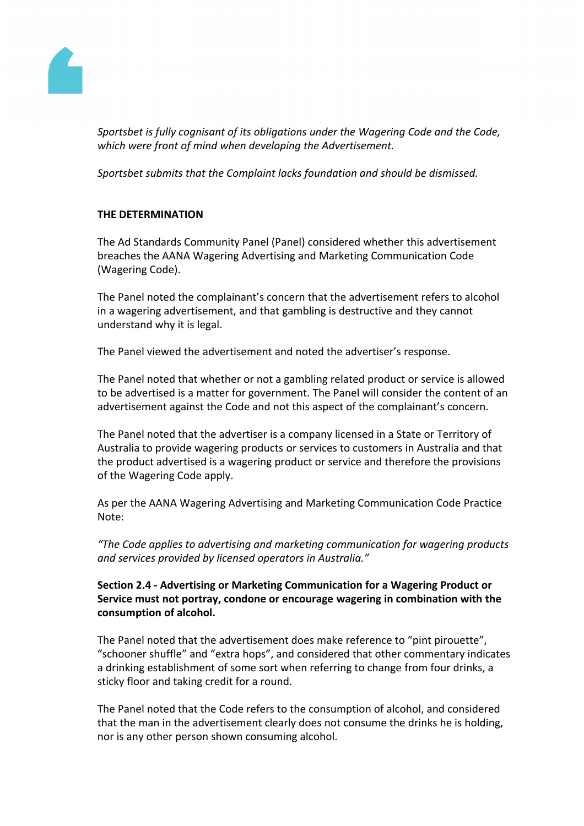

*Sportsbet is fully cognisant of its obligations under the Wagering Code and the Code, which were front of mind when developing the Advertisement.*

*Sportsbet submits that the Complaint lacks foundation and should be dismissed.*

# **THE DETERMINATION**

The Ad Standards Community Panel (Panel) considered whether this advertisement breaches the AANA Wagering Advertising and Marketing Communication Code (Wagering Code).

The Panel noted the complainant's concern that the advertisement refers to alcohol in a wagering advertisement, and that gambling is destructive and they cannot understand why it is legal.

The Panel viewed the advertisement and noted the advertiser's response.

The Panel noted that whether or not a gambling related product or service is allowed to be advertised is a matter for government. The Panel will consider the content of an advertisement against the Code and not this aspect of the complainant's concern.

The Panel noted that the advertiser is a company licensed in a State or Territory of Australia to provide wagering products or services to customers in Australia and that the product advertised is a wagering product or service and therefore the provisions of the Wagering Code apply.

As per the AANA Wagering Advertising and Marketing Communication Code Practice Note:

*"The Code applies to advertising and marketing communication for wagering products and services provided by licensed operators in Australia."*

# **Section 2.4 - Advertising or Marketing Communication for a Wagering Product or Service must not portray, condone or encourage wagering in combination with the consumption of alcohol.**

The Panel noted that the advertisement does make reference to "pint pirouette", "schooner shuffle" and "extra hops", and considered that other commentary indicates a drinking establishment of some sort when referring to change from four drinks, a sticky floor and taking credit for a round.

The Panel noted that the Code refers to the consumption of alcohol, and considered that the man in the advertisement clearly does not consume the drinks he is holding, nor is any other person shown consuming alcohol.